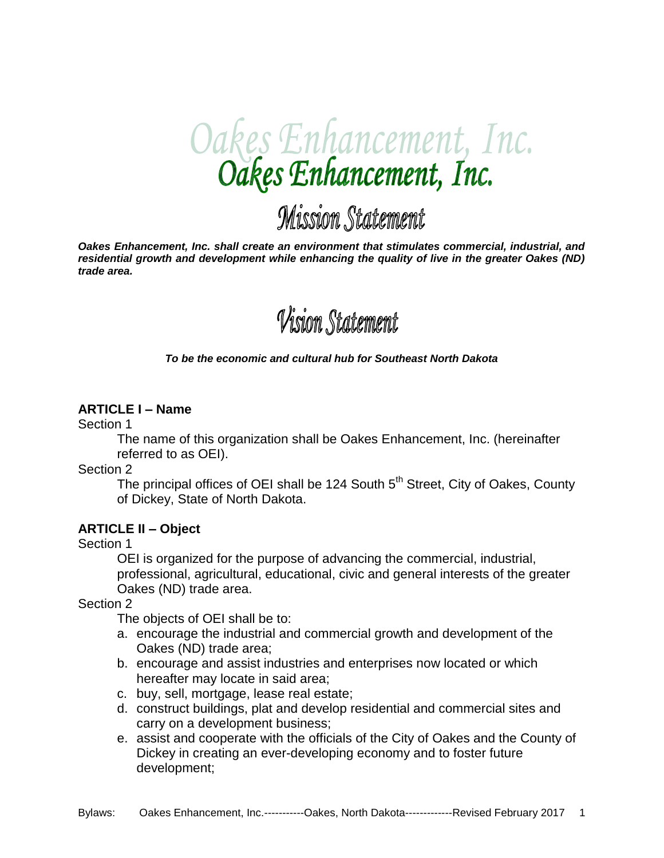

# Mission Statement

*Oakes Enhancement, Inc. shall create an environment that stimulates commercial, industrial, and residential growth and development while enhancing the quality of live in the greater Oakes (ND) trade area.*



#### *To be the economic and cultural hub for Southeast North Dakota*

#### **ARTICLE I – Name**

Section 1

The name of this organization shall be Oakes Enhancement, Inc. (hereinafter referred to as OEI).

Section 2

The principal offices of OEI shall be 124 South  $5<sup>th</sup>$  Street, City of Oakes, County of Dickey, State of North Dakota.

#### **ARTICLE II – Object**

Section 1

OEI is organized for the purpose of advancing the commercial, industrial, professional, agricultural, educational, civic and general interests of the greater Oakes (ND) trade area.

Section 2

The objects of OEI shall be to:

- a. encourage the industrial and commercial growth and development of the Oakes (ND) trade area;
- b. encourage and assist industries and enterprises now located or which hereafter may locate in said area;
- c. buy, sell, mortgage, lease real estate;
- d. construct buildings, plat and develop residential and commercial sites and carry on a development business;
- e. assist and cooperate with the officials of the City of Oakes and the County of Dickey in creating an ever-developing economy and to foster future development;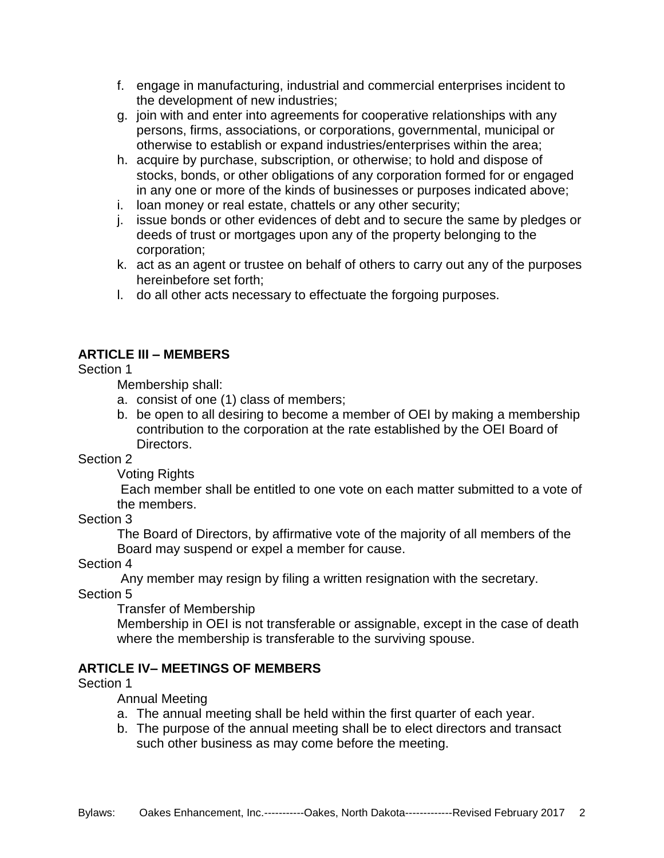- f. engage in manufacturing, industrial and commercial enterprises incident to the development of new industries;
- g. join with and enter into agreements for cooperative relationships with any persons, firms, associations, or corporations, governmental, municipal or otherwise to establish or expand industries/enterprises within the area;
- h. acquire by purchase, subscription, or otherwise; to hold and dispose of stocks, bonds, or other obligations of any corporation formed for or engaged in any one or more of the kinds of businesses or purposes indicated above;
- i. loan money or real estate, chattels or any other security;
- j. issue bonds or other evidences of debt and to secure the same by pledges or deeds of trust or mortgages upon any of the property belonging to the corporation;
- k. act as an agent or trustee on behalf of others to carry out any of the purposes hereinbefore set forth;
- l. do all other acts necessary to effectuate the forgoing purposes.

## **ARTICLE III – MEMBERS**

#### Section 1

Membership shall:

- a. consist of one (1) class of members;
- b. be open to all desiring to become a member of OEI by making a membership contribution to the corporation at the rate established by the OEI Board of Directors.

Section 2

Voting Rights

Each member shall be entitled to one vote on each matter submitted to a vote of the members.

#### Section 3

The Board of Directors, by affirmative vote of the majority of all members of the Board may suspend or expel a member for cause.

Section 4

Any member may resign by filing a written resignation with the secretary.

Section 5

Transfer of Membership

Membership in OEI is not transferable or assignable, except in the case of death where the membership is transferable to the surviving spouse.

#### **ARTICLE IV– MEETINGS OF MEMBERS**

Section 1

#### Annual Meeting

- a. The annual meeting shall be held within the first quarter of each year.
- b. The purpose of the annual meeting shall be to elect directors and transact such other business as may come before the meeting.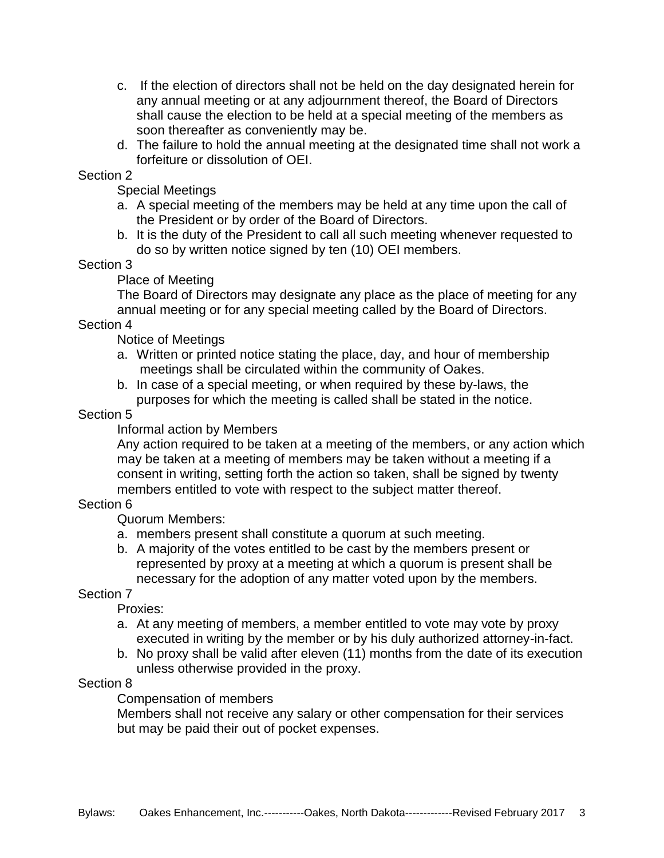- c. If the election of directors shall not be held on the day designated herein for any annual meeting or at any adjournment thereof, the Board of Directors shall cause the election to be held at a special meeting of the members as soon thereafter as conveniently may be.
- d. The failure to hold the annual meeting at the designated time shall not work a forfeiture or dissolution of OEI.

#### Section 2

Special Meetings

- a. A special meeting of the members may be held at any time upon the call of the President or by order of the Board of Directors.
- b. It is the duty of the President to call all such meeting whenever requested to do so by written notice signed by ten (10) OEI members.

# Section 3

Place of Meeting

The Board of Directors may designate any place as the place of meeting for any annual meeting or for any special meeting called by the Board of Directors.

#### Section 4

Notice of Meetings

- a. Written or printed notice stating the place, day, and hour of membership meetings shall be circulated within the community of Oakes.
- b. In case of a special meeting, or when required by these by-laws, the purposes for which the meeting is called shall be stated in the notice.

## Section 5

Informal action by Members

Any action required to be taken at a meeting of the members, or any action which may be taken at a meeting of members may be taken without a meeting if a consent in writing, setting forth the action so taken, shall be signed by twenty members entitled to vote with respect to the subject matter thereof.

# Section 6

Quorum Members:

- a. members present shall constitute a quorum at such meeting.
- b. A majority of the votes entitled to be cast by the members present or represented by proxy at a meeting at which a quorum is present shall be necessary for the adoption of any matter voted upon by the members.

# Section 7

Proxies:

- a. At any meeting of members, a member entitled to vote may vote by proxy executed in writing by the member or by his duly authorized attorney-in-fact.
- b. No proxy shall be valid after eleven (11) months from the date of its execution unless otherwise provided in the proxy.

# Section 8

Compensation of members

Members shall not receive any salary or other compensation for their services but may be paid their out of pocket expenses.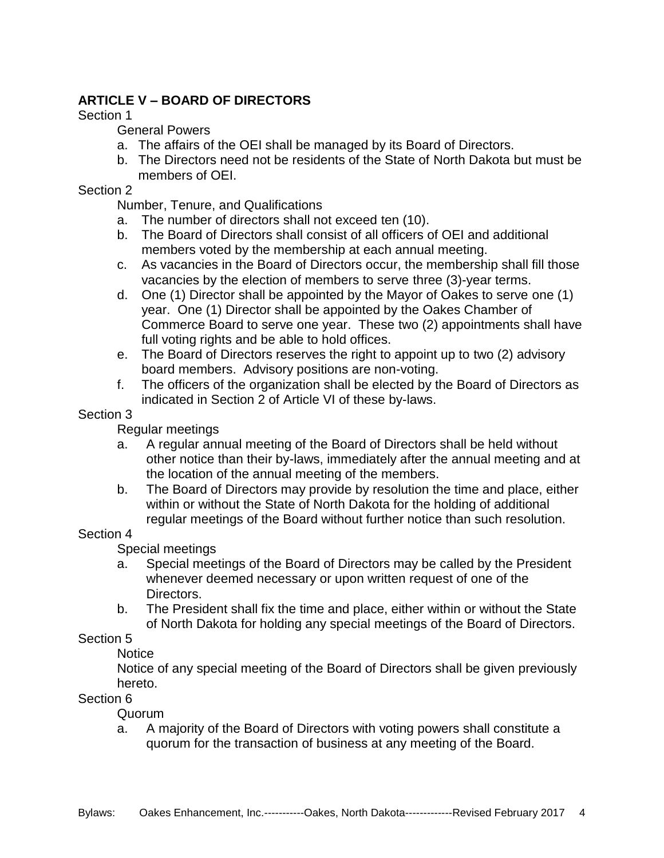# **ARTICLE V – BOARD OF DIRECTORS**

#### Section 1

## General Powers

- a. The affairs of the OEI shall be managed by its Board of Directors.
- b. The Directors need not be residents of the State of North Dakota but must be members of OEI.

## Section 2

Number, Tenure, and Qualifications

- a. The number of directors shall not exceed ten (10).
- b. The Board of Directors shall consist of all officers of OEI and additional members voted by the membership at each annual meeting.
- c. As vacancies in the Board of Directors occur, the membership shall fill those vacancies by the election of members to serve three (3)-year terms.
- d. One (1) Director shall be appointed by the Mayor of Oakes to serve one (1) year. One (1) Director shall be appointed by the Oakes Chamber of Commerce Board to serve one year. These two (2) appointments shall have full voting rights and be able to hold offices.
- e. The Board of Directors reserves the right to appoint up to two (2) advisory board members. Advisory positions are non-voting.
- f. The officers of the organization shall be elected by the Board of Directors as indicated in Section 2 of Article VI of these by-laws.

## Section 3

Regular meetings

- a. A regular annual meeting of the Board of Directors shall be held without other notice than their by-laws, immediately after the annual meeting and at the location of the annual meeting of the members.
- b. The Board of Directors may provide by resolution the time and place, either within or without the State of North Dakota for the holding of additional regular meetings of the Board without further notice than such resolution.

#### Section 4

Special meetings

- a. Special meetings of the Board of Directors may be called by the President whenever deemed necessary or upon written request of one of the Directors.
- b. The President shall fix the time and place, either within or without the State of North Dakota for holding any special meetings of the Board of Directors.

# Section 5

# **Notice**

Notice of any special meeting of the Board of Directors shall be given previously hereto.

# Section 6

Quorum

a. A majority of the Board of Directors with voting powers shall constitute a quorum for the transaction of business at any meeting of the Board.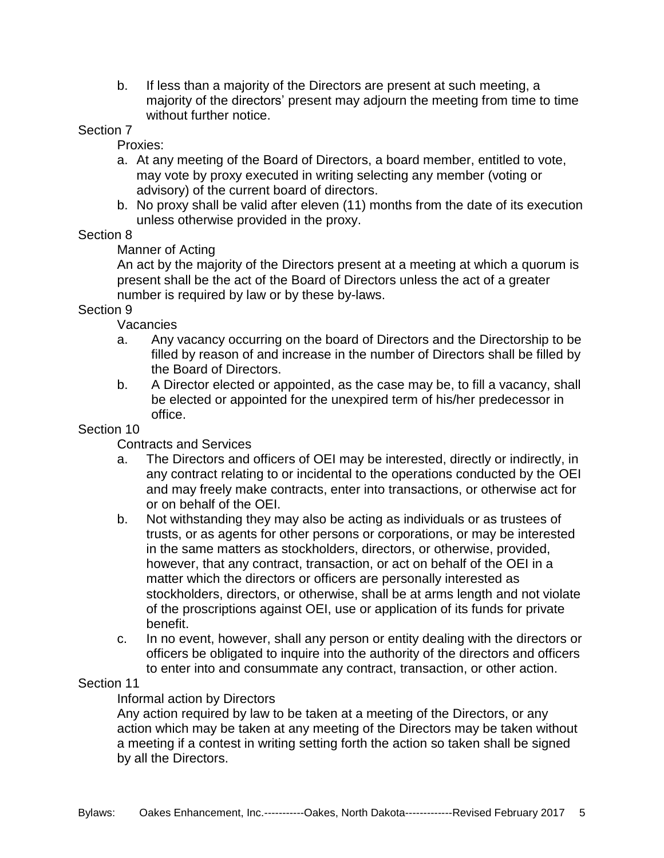b. If less than a majority of the Directors are present at such meeting, a majority of the directors' present may adjourn the meeting from time to time without further notice.

#### Section 7

Proxies:

- a. At any meeting of the Board of Directors, a board member, entitled to vote, may vote by proxy executed in writing selecting any member (voting or advisory) of the current board of directors.
- b. No proxy shall be valid after eleven (11) months from the date of its execution unless otherwise provided in the proxy.

#### Section 8

## Manner of Acting

An act by the majority of the Directors present at a meeting at which a quorum is present shall be the act of the Board of Directors unless the act of a greater number is required by law or by these by-laws.

#### Section 9

Vacancies

- a. Any vacancy occurring on the board of Directors and the Directorship to be filled by reason of and increase in the number of Directors shall be filled by the Board of Directors.
- b. A Director elected or appointed, as the case may be, to fill a vacancy, shall be elected or appointed for the unexpired term of his/her predecessor in office.

#### Section 10

Contracts and Services

- a. The Directors and officers of OEI may be interested, directly or indirectly, in any contract relating to or incidental to the operations conducted by the OEI and may freely make contracts, enter into transactions, or otherwise act for or on behalf of the OEI.
- b. Not withstanding they may also be acting as individuals or as trustees of trusts, or as agents for other persons or corporations, or may be interested in the same matters as stockholders, directors, or otherwise, provided, however, that any contract, transaction, or act on behalf of the OEI in a matter which the directors or officers are personally interested as stockholders, directors, or otherwise, shall be at arms length and not violate of the proscriptions against OEI, use or application of its funds for private benefit.
- c. In no event, however, shall any person or entity dealing with the directors or officers be obligated to inquire into the authority of the directors and officers to enter into and consummate any contract, transaction, or other action.

#### Section 11

# Informal action by Directors

Any action required by law to be taken at a meeting of the Directors, or any action which may be taken at any meeting of the Directors may be taken without a meeting if a contest in writing setting forth the action so taken shall be signed by all the Directors.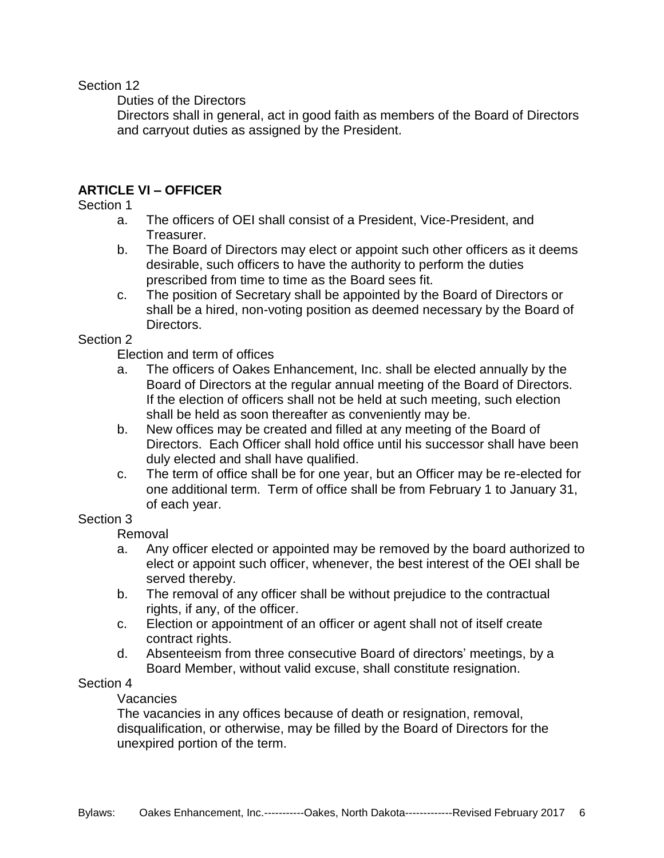Section 12

Duties of the Directors

Directors shall in general, act in good faith as members of the Board of Directors and carryout duties as assigned by the President.

## **ARTICLE VI – OFFICER**

#### Section 1

- a. The officers of OEI shall consist of a President, Vice-President, and Treasurer.
- b. The Board of Directors may elect or appoint such other officers as it deems desirable, such officers to have the authority to perform the duties prescribed from time to time as the Board sees fit.
- c. The position of Secretary shall be appointed by the Board of Directors or shall be a hired, non-voting position as deemed necessary by the Board of Directors.

#### Section 2

Election and term of offices

- a. The officers of Oakes Enhancement, Inc. shall be elected annually by the Board of Directors at the regular annual meeting of the Board of Directors. If the election of officers shall not be held at such meeting, such election shall be held as soon thereafter as conveniently may be.
- b. New offices may be created and filled at any meeting of the Board of Directors. Each Officer shall hold office until his successor shall have been duly elected and shall have qualified.
- c. The term of office shall be for one year, but an Officer may be re-elected for one additional term. Term of office shall be from February 1 to January 31, of each year.

## Section 3

Removal

- a. Any officer elected or appointed may be removed by the board authorized to elect or appoint such officer, whenever, the best interest of the OEI shall be served thereby.
- b. The removal of any officer shall be without prejudice to the contractual rights, if any, of the officer.
- c. Election or appointment of an officer or agent shall not of itself create contract rights.
- d. Absenteeism from three consecutive Board of directors' meetings, by a Board Member, without valid excuse, shall constitute resignation.

#### Section 4

#### **Vacancies**

The vacancies in any offices because of death or resignation, removal, disqualification, or otherwise, may be filled by the Board of Directors for the unexpired portion of the term.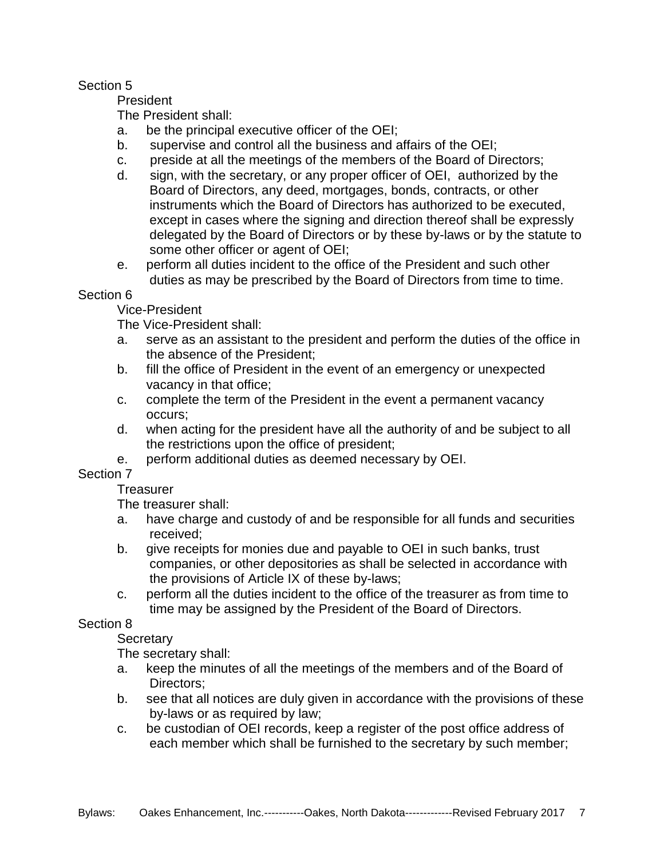## Section 5

President

The President shall:

- a. be the principal executive officer of the OEI;
- b. supervise and control all the business and affairs of the OEI;
- c. preside at all the meetings of the members of the Board of Directors;
- d. sign, with the secretary, or any proper officer of OEI, authorized by the Board of Directors, any deed, mortgages, bonds, contracts, or other instruments which the Board of Directors has authorized to be executed, except in cases where the signing and direction thereof shall be expressly delegated by the Board of Directors or by these by-laws or by the statute to some other officer or agent of OEI;
- e. perform all duties incident to the office of the President and such other duties as may be prescribed by the Board of Directors from time to time.

## Section 6

Vice-President

The Vice-President shall:

- a. serve as an assistant to the president and perform the duties of the office in the absence of the President;
- b. fill the office of President in the event of an emergency or unexpected vacancy in that office;
- c. complete the term of the President in the event a permanent vacancy occurs;
- d. when acting for the president have all the authority of and be subject to all the restrictions upon the office of president;
- e. perform additional duties as deemed necessary by OEI.

Section 7

#### **Treasurer**

The treasurer shall:

- a. have charge and custody of and be responsible for all funds and securities received;
- b. give receipts for monies due and payable to OEI in such banks, trust companies, or other depositories as shall be selected in accordance with the provisions of Article IX of these by-laws;
- c. perform all the duties incident to the office of the treasurer as from time to time may be assigned by the President of the Board of Directors.

# Section 8

**Secretary** 

The secretary shall:

- a. keep the minutes of all the meetings of the members and of the Board of Directors;
- b. see that all notices are duly given in accordance with the provisions of these by-laws or as required by law;
- c. be custodian of OEI records, keep a register of the post office address of each member which shall be furnished to the secretary by such member;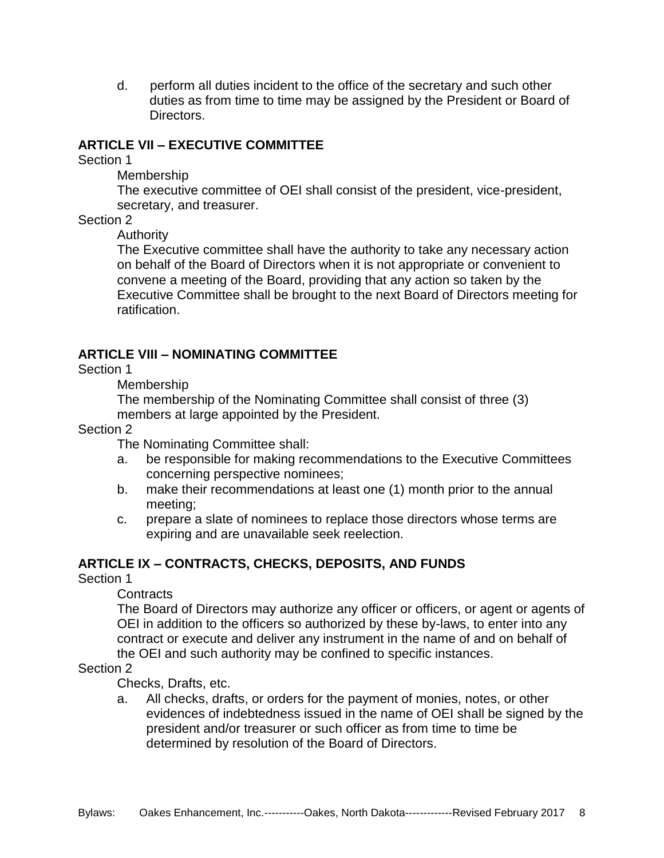d. perform all duties incident to the office of the secretary and such other duties as from time to time may be assigned by the President or Board of Directors.

#### **ARTICLE VII – EXECUTIVE COMMITTEE**

Section 1

Membership

The executive committee of OEI shall consist of the president, vice-president, secretary, and treasurer.

#### Section 2

Authority

The Executive committee shall have the authority to take any necessary action on behalf of the Board of Directors when it is not appropriate or convenient to convene a meeting of the Board, providing that any action so taken by the Executive Committee shall be brought to the next Board of Directors meeting for ratification.

## **ARTICLE VIII – NOMINATING COMMITTEE**

Section 1

Membership

The membership of the Nominating Committee shall consist of three (3) members at large appointed by the President.

#### Section 2

The Nominating Committee shall:

- a. be responsible for making recommendations to the Executive Committees concerning perspective nominees;
- b. make their recommendations at least one (1) month prior to the annual meeting;
- c. prepare a slate of nominees to replace those directors whose terms are expiring and are unavailable seek reelection.

#### **ARTICLE IX – CONTRACTS, CHECKS, DEPOSITS, AND FUNDS**

Section 1

**Contracts** 

The Board of Directors may authorize any officer or officers, or agent or agents of OEI in addition to the officers so authorized by these by-laws, to enter into any contract or execute and deliver any instrument in the name of and on behalf of the OEI and such authority may be confined to specific instances.

#### Section 2

Checks, Drafts, etc.

a. All checks, drafts, or orders for the payment of monies, notes, or other evidences of indebtedness issued in the name of OEI shall be signed by the president and/or treasurer or such officer as from time to time be determined by resolution of the Board of Directors.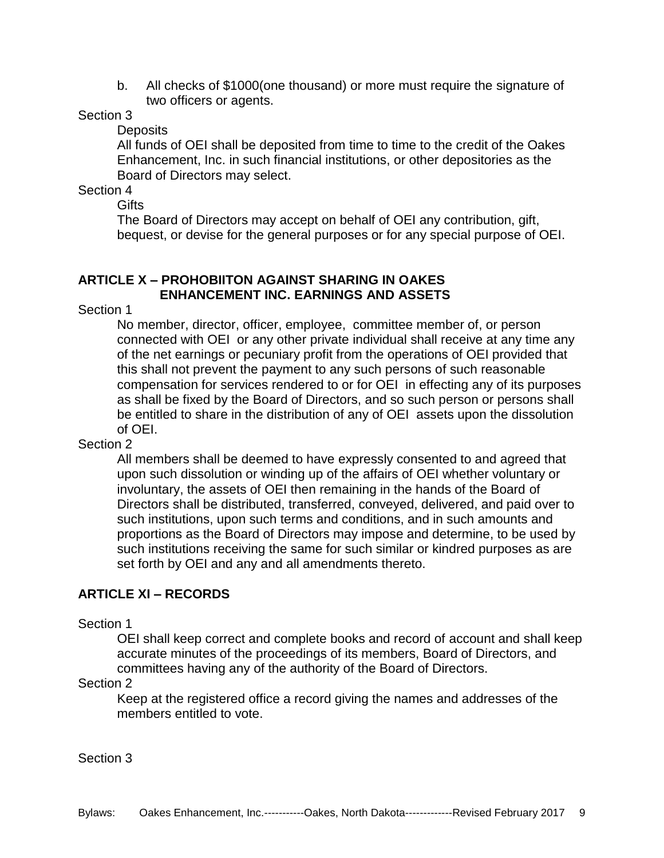b. All checks of \$1000(one thousand) or more must require the signature of two officers or agents.

#### Section 3

**Deposits** 

All funds of OEI shall be deposited from time to time to the credit of the Oakes Enhancement, Inc. in such financial institutions, or other depositories as the Board of Directors may select.

Section 4

**Gifts** 

The Board of Directors may accept on behalf of OEI any contribution, gift, bequest, or devise for the general purposes or for any special purpose of OEI.

## **ARTICLE X – PROHOBIITON AGAINST SHARING IN OAKES ENHANCEMENT INC. EARNINGS AND ASSETS**

Section 1

No member, director, officer, employee, committee member of, or person connected with OEI or any other private individual shall receive at any time any of the net earnings or pecuniary profit from the operations of OEI provided that this shall not prevent the payment to any such persons of such reasonable compensation for services rendered to or for OEI in effecting any of its purposes as shall be fixed by the Board of Directors, and so such person or persons shall be entitled to share in the distribution of any of OEI assets upon the dissolution of OEI.

#### Section 2

All members shall be deemed to have expressly consented to and agreed that upon such dissolution or winding up of the affairs of OEI whether voluntary or involuntary, the assets of OEI then remaining in the hands of the Board of Directors shall be distributed, transferred, conveyed, delivered, and paid over to such institutions, upon such terms and conditions, and in such amounts and proportions as the Board of Directors may impose and determine, to be used by such institutions receiving the same for such similar or kindred purposes as are set forth by OEI and any and all amendments thereto.

# **ARTICLE XI – RECORDS**

#### Section 1

OEI shall keep correct and complete books and record of account and shall keep accurate minutes of the proceedings of its members, Board of Directors, and committees having any of the authority of the Board of Directors.

#### Section 2

Keep at the registered office a record giving the names and addresses of the members entitled to vote.

Section 3